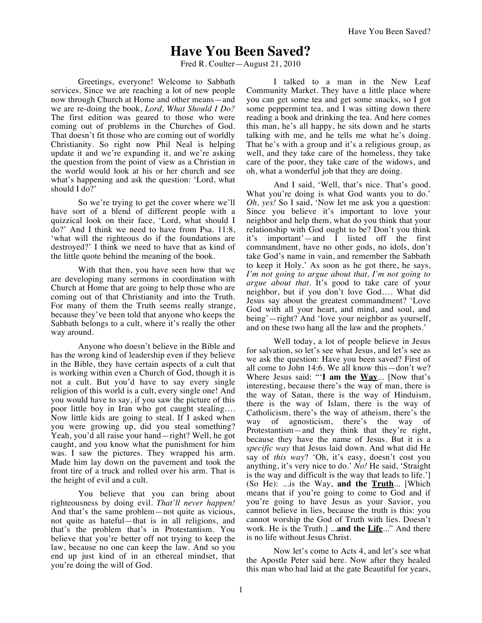## **Have You Been Saved?**

Fred R. Coulter—August 21, 2010

Greetings, everyone! Welcome to Sabbath services. Since we are reaching a lot of new people now through Church at Home and other means—and we are re-doing the book, *Lord, What Should I Do?* The first edition was geared to those who were coming out of problems in the Churches of God. That doesn't fit those who are coming out of worldly Christianity. So right now Phil Neal is helping update it and we're expanding it, and we're asking the question from the point of view as a Christian in the world would look at his or her church and see what's happening and ask the question: 'Lord, what should I do?'

So we're trying to get the cover where we'll have sort of a blend of different people with a quizzical look on their face, 'Lord, what should I do?' And I think we need to have from Psa. 11:8, 'what will the righteous do if the foundations are destroyed?' I think we need to have that as kind of the little quote behind the meaning of the book.

With that then, you have seen how that we are developing many sermons in coordination with Church at Home that are going to help those who are coming out of that Christianity and into the Truth. For many of them the Truth seems really strange, because they've been told that anyone who keeps the Sabbath belongs to a cult, where it's really the other way around.

Anyone who doesn't believe in the Bible and has the wrong kind of leadership even if they believe in the Bible, they have certain aspects of a cult that is working within even a Church of God, though it is not a cult. But you'd have to say every single religion of this world is a cult, every single one! And you would have to say, if you saw the picture of this poor little boy in Iran who got caught stealing…. Now little kids are going to steal. If I asked when you were growing up, did you steal something? Yeah, you'd all raise your hand—right? Well, he got caught, and you know what the punishment for him was. I saw the pictures. They wrapped his arm. Made him lay down on the pavement and took the front tire of a truck and rolled over his arm. That is the height of evil and a cult.

You believe that you can bring about righteousness by doing evil. *That'll never happen!* And that's the same problem—not quite as vicious, not quite as hateful—that is in all religions, and that's the problem that's in Protestantism. You believe that you're better off not trying to keep the law, because no one can keep the law. And so you end up just kind of in an ethereal mindset, that you're doing the will of God.

I talked to a man in the New Leaf Community Market. They have a little place where you can get some tea and get some snacks, so I got some peppermint tea, and I was sitting down there reading a book and drinking the tea. And here comes this man, he's all happy, he sits down and he starts talking with me, and he tells me what he's doing. That he's with a group and it's a religious group, as well, and they take care of the homeless, they take care of the poor, they take care of the widows, and oh, what a wonderful job that they are doing.

And I said, 'Well, that's nice. That's good. What you're doing is what God wants you to do.' *Oh, yes!* So I said, 'Now let me ask you a question: Since you believe it's important to love your neighbor and help them, what do you think that your relationship with God ought to be? Don't you think it's important'—and I listed off the first commandment, have no other gods, no idols, don't take God's name in vain, and remember the Sabbath to keep it Holy.' As soon as he got there, he says, *I'm not going to argue about that, I'm not going to argue about that*. It's good to take care of your neighbor, but if you don't love God…. What did Jesus say about the greatest commandment? 'Love God with all your heart, and mind, and soul, and being'—right? And 'love your neighbor as yourself, and on these two hang all the law and the prophets.'

Well today, a lot of people believe in Jesus for salvation, so let's see what Jesus, and let's see as we ask the question: Have you been saved? First of all come to John 14:6. We all know this—don't we? Where Jesus said: "'**I am the Way**... [Now that's interesting, because there's the way of man, there is the way of Satan, there is the way of Hinduism, there is the way of Islam, there is the way of Catholicism, there's the way of atheism, there's the way of agnosticism, there's the way of Protestantism—and they think that they're right, because they have the name of Jesus. But it is a *specific way* that Jesus laid down. And what did He say of *this way*? 'Oh, it's easy, doesn't cost you anything, it's very nice to do.' *No!* He said, 'Straight is the way and difficult is the way that leads to life.'] (So He): ...is the Way, **and the Truth**... [Which means that if you're going to come to God and if you're going to have Jesus as your Savior, you cannot believe in lies, because the truth is this: you cannot worship the God of Truth with lies. Doesn't work. He is the Truth.] ...**and the Life**..." And there is no life without Jesus Christ.

Now let's come to Acts 4, and let's see what the Apostle Peter said here. Now after they healed this man who had laid at the gate Beautiful for years,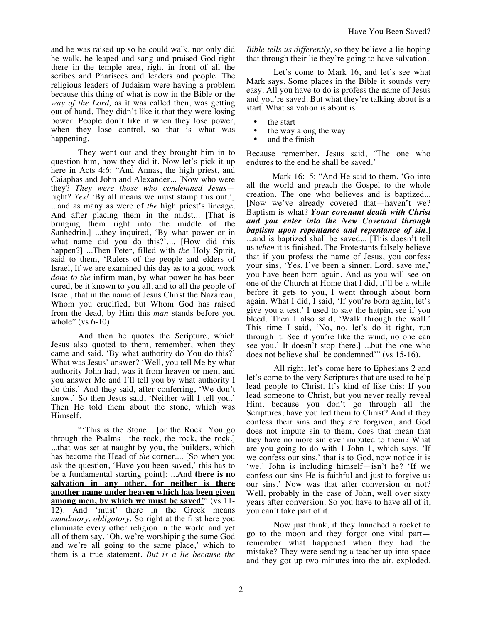and he was raised up so he could walk, not only did he walk, he leaped and sang and praised God right there in the temple area, right in front of all the scribes and Pharisees and leaders and people. The religious leaders of Judaism were having a problem because this thing of what is now in the Bible or the *way of the Lord,* as it was called then, was getting out of hand. They didn't like it that they were losing power. People don't like it when they lose power, when they lose control, so that is what was happening.

They went out and they brought him in to question him, how they did it. Now let's pick it up here in Acts 4:6: "And Annas, the high priest, and Caiaphas and John and Alexander... [Now who were they? *They were those who condemned Jesus* right? *Yes!* 'By all means we must stamp this out.'] ...and as many as were of *the* high priest's lineage. And after placing them in the midst... [That is bringing them right into the middle of the Sanhedrin.] ...they inquired, 'By what power or in what name did you do this?'.... [How did this happen?] ...Then Peter, filled with *the* Holy Spirit, said to them, 'Rulers of the people and elders of Israel, If we are examined this day as to a good work *done to the* infirm man, by what power he has been cured, be it known to you all, and to all the people of Israel, that in the name of Jesus Christ the Nazarean, Whom you crucified, but Whom God has raised from the dead, by Him this *man* stands before you whole" (vs 6-10).

And then he quotes the Scripture, which Jesus also quoted to them, remember, when they came and said, 'By what authority do You do this?' What was Jesus' answer? 'Well, you tell Me by what authority John had, was it from heaven or men, and you answer Me and I'll tell you by what authority I do this.' And they said, after conferring, 'We don't know.' So then Jesus said, 'Neither will I tell you.' Then He told them about the stone, which was Himself.

"'This is the Stone... [or the Rock. You go through the Psalms—the rock, the rock, the rock.] ...that was set at naught by you, the builders, which has become the Head of *the* corner.... [So when you ask the question, 'Have you been saved,' this has to be a fundamental starting point]: ...And **there is no salvation in any other, for neither is there another name under heaven which has been given among men, by which we must be saved'**" (vs 11- 12). And 'must' there in the Greek means *mandatory, obligatory*. So right at the first here you eliminate every other religion in the world and yet all of them say, 'Oh, we're worshiping the same God and we're all going to the same place,' which to them is a true statement. *But is a lie because the* 

*Bible tells us differently*, so they believe a lie hoping that through their lie they're going to have salvation.

Let's come to Mark 16, and let's see what Mark says. Some places in the Bible it sounds very easy. All you have to do is profess the name of Jesus and you're saved. But what they're talking about is a start. What salvation is about is

- the start
- the way along the way
- and the finish

Because remember, Jesus said, 'The one who endures to the end he shall be saved.'

Mark 16:15: "And He said to them, 'Go into all the world and preach the Gospel to the whole creation. The one who believes and is baptized... [Now we've already covered that—haven't we? Baptism is what? *Your covenant death with Christ and you enter into the New Covenant through baptism upon repentance and repentance of sin*.] ...and is baptized shall be saved... [This doesn't tell us *when* it is finished. The Protestants falsely believe that if you profess the name of Jesus, you confess your sins, 'Yes, I've been a sinner, Lord, save me,' you have been born again. And as you will see on one of the Church at Home that I did, it'll be a while before it gets to you, I went through about born again. What I did, I said, 'If you're born again, let's give you a test.' I used to say the hatpin, see if you bleed. Then I also said, 'Walk through the wall.' This time I said, 'No, no, let's do it right, run through it. See if you're like the wind, no one can see you.' It doesn't stop there.] ...but the one who does not believe shall be condemned'" (vs 15-16).

All right, let's come here to Ephesians 2 and let's come to the very Scriptures that are used to help lead people to Christ. It's kind of like this: If you lead someone to Christ, but you never really reveal Him, because you don't go through all the Scriptures, have you led them to Christ? And if they confess their sins and they are forgiven, and God does not impute sin to them, does that mean that they have no more sin ever imputed to them? What are you going to do with 1-John 1, which says, 'If we confess our sins,' that is to God, now notice it is 'we.' John is including himself—isn't he? 'If we confess our sins He is faithful and just to forgive us our sins.' Now was that after conversion or not? Well, probably in the case of John, well over sixty years after conversion. So you have to have all of it, you can't take part of it.

Now just think, if they launched a rocket to go to the moon and they forgot one vital part remember what happened when they had the mistake? They were sending a teacher up into space and they got up two minutes into the air, exploded,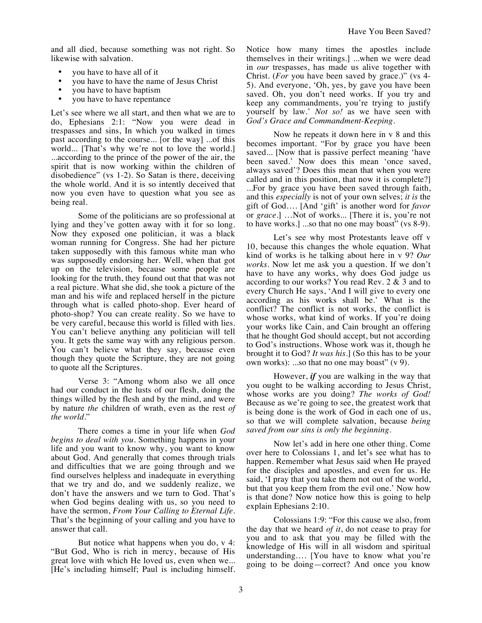and all died, because something was not right. So likewise with salvation.

- you have to have all of it
- you have to have the name of Jesus Christ
- you have to have baptism
- you have to have repentance

Let's see where we all start, and then what we are to do, Ephesians 2:1: "Now you were dead in trespasses and sins, In which you walked in times past according to the course... [or the way] ...of this world... [That's why we're not to love the world.] ...according to the prince of the power of the air, the spirit that is now working within the children of disobedience" (vs 1-2). So Satan is there, deceiving the whole world. And it is so intently deceived that now you even have to question what you see as being real.

Some of the politicians are so professional at lying and they've gotten away with it for so long. Now they exposed one politician, it was a black woman running for Congress. She had her picture taken supposedly with this famous white man who was supposedly endorsing her. Well, when that got up on the television, because some people are looking for the truth, they found out that that was not a real picture. What she did, she took a picture of the man and his wife and replaced herself in the picture through what is called photo-shop. Ever heard of photo-shop? You can create reality. So we have to be very careful, because this world is filled with lies. You can't believe anything any politician will tell you. It gets the same way with any religious person. You can't believe what they say, because even though they quote the Scripture, they are not going to quote all the Scriptures.

Verse 3: "Among whom also we all once had our conduct in the lusts of our flesh, doing the things willed by the flesh and by the mind, and were by nature *the* children of wrath, even as the rest *of the world*."

There comes a time in your life when *God begins to deal with you.* Something happens in your life and you want to know why, you want to know about God. And generally that comes through trials and difficulties that we are going through and we find ourselves helpless and inadequate in everything that we try and do, and we suddenly realize, we don't have the answers and we turn to God. That's when God begins dealing with us, so you need to have the sermon, *From Your Calling to Eternal Life*. That's the beginning of your calling and you have to answer that call.

But notice what happens when you do, v 4: "But God, Who is rich in mercy, because of His great love with which He loved us, even when we... [He's including himself; Paul is including himself. Notice how many times the apostles include themselves in their writings.] ...when we were dead in *our* trespasses, has made us alive together with Christ. (*For* you have been saved by grace.)" (vs 4- 5). And everyone, 'Oh, yes, by gave you have been saved. Oh, you don't need works. If you try and keep any commandments, you're trying to justify yourself by law.' *Not so!* as we have seen with *God's Grace and Commandment-Keeping*.

Now he repeats it down here in v 8 and this becomes important. "For by grace you have been saved... [Now that is passive perfect meaning 'have been saved.' Now does this mean 'once saved, always saved'? Does this mean that when you were called and in this position, that now it is complete?] ...For by grace you have been saved through faith, and this *especially* is not of your own selves; *it is* the gift of God…. [And 'gift' is another word for *favor* or *grace*.] …Not of works... [There it is, you're not to have works.] ...so that no one may boast" (vs 8-9).

Let's see why most Protestants leave off v 10, because this changes the whole equation. What kind of works is he talking about here in v 9? *Our works*. Now let me ask you a question. If we don't have to have any works, why does God judge us according to our works? You read Rev. 2 & 3 and to every Church He says, 'And I will give to every one according as his works shall be.' What is the conflict? The conflict is not works, the conflict is whose works, what kind of works. If you're doing your works like Cain, and Cain brought an offering that he thought God should accept, but not according to God's instructions. Whose work was it, though he brought it to God? *It was his*.] (So this has to be your own works): ...so that no one may boast" (v 9).

However, *if* you are walking in the way that you ought to be walking according to Jesus Christ, whose works are you doing? *The works of God!* Because as we're going to see, the greatest work that is being done is the work of God in each one of us, so that we will complete salvation, because *being saved from our sins is only the beginning.* 

Now let's add in here one other thing. Come over here to Colossians 1, and let's see what has to happen. Remember what Jesus said when He prayed for the disciples and apostles, and even for us. He said, 'I pray that you take them not out of the world, but that you keep them from the evil one.' Now how is that done? Now notice how this is going to help explain Ephesians 2:10.

Colossians 1:9: "For this cause we also, from the day that we heard *of it*, do not cease to pray for you and to ask that you may be filled with the knowledge of His will in all wisdom and spiritual understanding…. [You have to know what you're going to be doing—correct? And once you know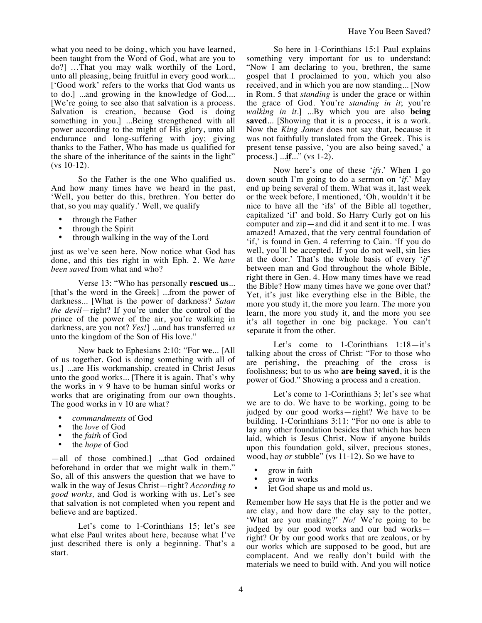what you need to be doing, which you have learned, been taught from the Word of God, what are you to do?] …That you may walk worthily of the Lord, unto all pleasing, being fruitful in every good work... ['Good work' refers to the works that God wants us to do.] ...and growing in the knowledge of God.... [We're going to see also that salvation is a process. Salvation is creation, because God is doing something in you.] ...Being strengthened with all power according to the might of His glory, unto all endurance and long-suffering with joy; giving thanks to the Father, Who has made us qualified for the share of the inheritance of the saints in the light" (vs 10-12).

So the Father is the one Who qualified us. And how many times have we heard in the past, 'Well, you better do this, brethren. You better do that, so you may qualify.' Well, we qualify

- through the Father
- through the Spirit<br>• through walking in
- through walking in the way of the Lord

just as we've seen here. Now notice what God has done, and this ties right in with Eph. 2. We *have been saved* from what and who?

Verse 13: "Who has personally **rescued us**... [that's the word in the Greek] ...from the power of darkness... [What is the power of darkness? *Satan the devil*—right? If you're under the control of the prince of the power of the air, you're walking in darkness, are you not? *Yes!*] ...and has transferred *us* unto the kingdom of the Son of His love."

Now back to Ephesians 2:10: "For **we**... [All of us together. God is doing something with all of us.] ...are His workmanship, created in Christ Jesus unto the good works... [There it is again. That's why the works in v 9 have to be human sinful works or works that are originating from our own thoughts. The good works in v 10 are what?

- *commandments* of God
- the *love* of God
- the *faith* of God
- the *hope* of God

—all of those combined.] ...that God ordained beforehand in order that we might walk in them." So, all of this answers the question that we have to walk in the way of Jesus Christ—right? *According to good works,* and God is working with us. Let's see that salvation is not completed when you repent and believe and are baptized.

Let's come to 1-Corinthians 15; let's see what else Paul writes about here, because what I've just described there is only a beginning. That's a start.

So here in 1-Corinthians 15:1 Paul explains something very important for us to understand: "Now I am declaring to you, brethren, the same gospel that I proclaimed to you, which you also received, and in which you are now standing... [Now in Rom. 5 that *standing* is under the grace or within the grace of God. You're *standing in it*; you're *walking in it*.] ...By which you are also **being saved**... [Showing that it is a process, it is a work. Now the *King James* does not say that, because it was not faithfully translated from the Greek. This is present tense passive, 'you are also being saved,' a process.] ...**if**..." (vs 1-2).

Now here's one of these '*ifs*.' When I go down south I'm going to do a sermon on '*if*.' May end up being several of them. What was it, last week or the week before, I mentioned, 'Oh, wouldn't it be nice to have all the 'ifs' of the Bible all together, capitalized 'if' and bold. So Harry Curly got on his computer and zip—and did it and sent it to me. I was amazed! Amazed, that the very central foundation of 'if,' is found in Gen. 4 referring to Cain. 'If you do well, you'll be accepted. If you do not well, sin lies at the door.' That's the whole basis of every '*if*' between man and God throughout the whole Bible, right there in Gen. 4. How many times have we read the Bible? How many times have we gone over that? Yet, it's just like everything else in the Bible, the more you study it, the more you learn. The more you learn, the more you study it, and the more you see it's all together in one big package. You can't separate it from the other.

Let's come to 1-Corinthians 1:18-it's talking about the cross of Christ: "For to those who are perishing, the preaching of the cross is foolishness; but to us who **are being saved**, it is the power of God." Showing a process and a creation.

Let's come to 1-Corinthians 3; let's see what we are to do. We have to be working, going to be judged by our good works—right? We have to be building. 1-Corinthians 3:11: "For no one is able to lay any other foundation besides that which has been laid, which is Jesus Christ. Now if anyone builds upon this foundation gold, silver, precious stones, wood, hay *or* stubble" (vs 11-12). So we have to

- grow in faith
- grow in works
- let God shape us and mold us.

Remember how He says that He is the potter and we are clay, and how dare the clay say to the potter, 'What are you making?' *No!* We're going to be judged by our good works and our bad works right? Or by our good works that are zealous, or by our works which are supposed to be good, but are complacent. And we really don't build with the materials we need to build with. And you will notice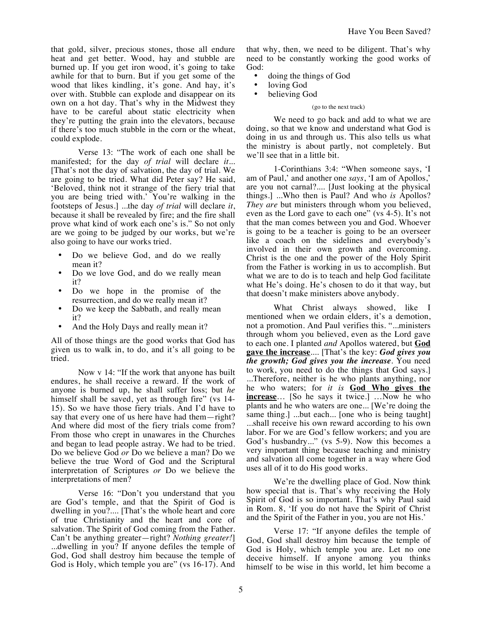that gold, silver, precious stones, those all endure heat and get better. Wood, hay and stubble are burned up. If you get iron wood, it's going to take awhile for that to burn. But if you get some of the wood that likes kindling, it's gone. And hay, it's over with. Stubble can explode and disappear on its own on a hot day. That's why in the Midwest they have to be careful about static electricity when they're putting the grain into the elevators, because if there's too much stubble in the corn or the wheat, could explode.

Verse 13: "The work of each one shall be manifested; for the day *of trial* will declare *it.*.. [That's not the day of salvation, the day of trial. We are going to be tried. What did Peter say? He said, 'Beloved, think not it strange of the fiery trial that you are being tried with.' You're walking in the footsteps of Jesus.] ...the day *of trial* will declare *it*, because it shall be revealed by fire; and the fire shall prove what kind of work each one's is." So not only are we going to be judged by our works, but we're also going to have our works tried.

- Do we believe God, and do we really mean it?
- Do we love God, and do we really mean it?
- Do we hope in the promise of the resurrection, and do we really mean it?
- Do we keep the Sabbath, and really mean it?
- And the Holy Days and really mean it?

All of those things are the good works that God has given us to walk in, to do, and it's all going to be tried.

Now v 14: "If the work that anyone has built endures, he shall receive a reward. If the work of anyone is burned up, he shall suffer loss; but *he*  himself shall be saved, yet as through fire" (vs 14-15). So we have those fiery trials. And I'd have to say that every one of us here have had them—right? And where did most of the fiery trials come from? From those who crept in unawares in the Churches and began to lead people astray. We had to be tried. Do we believe God *or* Do we believe a man? Do we believe the true Word of God and the Scriptural interpretation of Scriptures *or* Do we believe the interpretations of men?

Verse 16: "Don't you understand that you are God's temple, and that the Spirit of God is dwelling in you?.... [That's the whole heart and core of true Christianity and the heart and core of salvation. The Spirit of God coming from the Father. Can't be anything greater—right? *Nothing greater!*] ...dwelling in you? If anyone defiles the temple of God, God shall destroy him because the temple of God is Holy, which temple you are" (vs 16-17). And that why, then, we need to be diligent. That's why need to be constantly working the good works of God:

- doing the things of God
- loving God
- believing God

## (go to the next track)

We need to go back and add to what we are doing, so that we know and understand what God is doing in us and through us. This also tells us what the ministry is about partly, not completely. But we'll see that in a little bit.

1-Corinthians 3:4: "When someone says, 'I am of Paul,' and another one *says*, 'I am of Apollos,' are you not carnal?.... [Just looking at the physical things.] ...Who then is Paul? And who *is* Apollos? *They are* but ministers through whom you believed, even as the Lord gave to each one" (vs 4-5). It's not that the man comes between you and God. Whoever is going to be a teacher is going to be an overseer like a coach on the sidelines and everybody's involved in their own growth and overcoming. Christ is the one and the power of the Holy Spirit from the Father is working in us to accomplish. But what we are to do is to teach and help God facilitate what He's doing. He's chosen to do it that way, but that doesn't make ministers above anybody.

What Christ always showed, like I mentioned when we ordain elders, it's a demotion, not a promotion. And Paul verifies this. "...ministers through whom you believed, even as the Lord gave to each one. I planted *and* Apollos watered, but **God gave the increase**.... [That's the key: *God gives you the growth; God gives you the increase*. You need to work, you need to do the things that God says.] ...Therefore, neither is he who plants anything, nor he who waters; for *it is* **God Who gives the increase**… [So he says it twice.] …Now he who plants and he who waters are one... [We're doing the same thing.] ...but each... [one who is being taught] ...shall receive his own reward according to his own labor. For we are God's fellow workers; and you are God's husbandry..." (vs 5-9). Now this becomes a very important thing because teaching and ministry and salvation all come together in a way where God uses all of it to do His good works.

We're the dwelling place of God. Now think how special that is. That's why receiving the Holy Spirit of God is so important. That's why Paul said in Rom. 8, 'If you do not have the Spirit of Christ and the Spirit of the Father in you, you are not His.'

Verse 17: "If anyone defiles the temple of God, God shall destroy him because the temple of God is Holy, which temple you are. Let no one deceive himself. If anyone among you thinks himself to be wise in this world, let him become a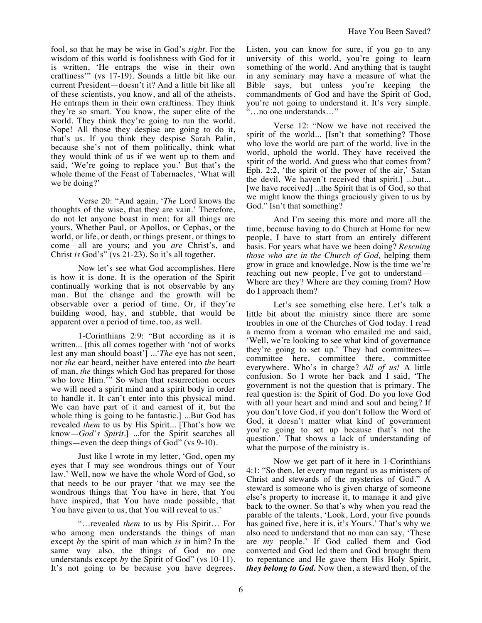fool, so that he may be wise in God's *sight*. For the wisdom of this world is foolishness with God for it is written, 'He entraps the wise in their own craftiness'" (vs 17-19). Sounds a little bit like our current President—doesn't it? And a little bit like all of these scientists, you know, and all of the atheists. He entraps them in their own craftiness. They think they're so smart. You know, the super elite of the world. They think they're going to run the world. Nope! All those they despise are going to do it, that's us. If you think they despise Sarah Palin, because she's not of them politically, think what they would think of us if we went up to them and said, 'We're going to replace you.' But that's the whole theme of the Feast of Tabernacles, 'What will we be doing?'

Verse 20: "And again, '*The* Lord knows the thoughts of the wise, that they are vain.' Therefore, do not let anyone boast in men; for all things are yours, Whether Paul, or Apollos, or Cephas, or the world, or life, or death, or things present, or things to come—all are yours; and you *are* Christ's, and Christ *is* God's" (vs 21-23). So it's all together.

Now let's see what God accomplishes. Here is how it is done. It is the operation of the Spirit continually working that is not observable by any man. But the change and the growth will be observable over a period of time. Or, if they're building wood, hay, and stubble, that would be apparent over a period of time, too, as well.

1-Corinthians 2:9: "But according as it is written... [this all comes together with 'not of works lest any man should boast'] ...'*The* eye has not seen, nor *the* ear heard, neither have entered into *the* heart of man, *the* things which God has prepared for those who love Him." So when that resurrection occurs we will need a spirit mind and a spirit body in order to handle it. It can't enter into this physical mind. We can have part of it and earnest of it, but the whole thing is going to be fantastic.] ...But God has revealed *them* to us by His Spirit... [That's how we know—*God's Spirit*.] ...for the Spirit searches all things—even the deep things of God" (vs 9-10).

Just like I wrote in my letter, 'God, open my eyes that I may see wondrous things out of Your law.' Well, now we have the whole Word of God, so that needs to be our prayer 'that we may see the wondrous things that You have in here, that You have inspired, that You have made possible, that You have given to us, that You will reveal to us.'

"…revealed *them* to us by His Spirit… For who among men understands the things of man except *by* the spirit of man which *is* in him? In the same way also, the things of God no one understands except *by* the Spirit of God" (vs 10-11). It's not going to be because you have degrees. Listen, you can know for sure, if you go to any university of this world, you're going to learn something of the world. And anything that is taught in any seminary may have a measure of what the Bible says, but unless you're keeping the commandments of God and have the Spirit of God, you're not going to understand it. It's very simple. "…no one understands…"

Verse 12: "Now we have not received the spirit of the world... [Isn't that something? Those who love the world are part of the world, live in the world, uphold the world. They have received the spirit of the world. And guess who that comes from? Eph. 2:2, 'the spirit of the power of the air,' Satan the devil. We haven't received that spirit.] ...but... [we have received] ...the Spirit that is of God, so that we might know the things graciously given to us by God." Isn't that something?

And I'm seeing this more and more all the time, because having to do Church at Home for new people, I have to start from an entirely different basis. For years what have we been doing? *Rescuing those who are in the Church of God,* helping them grow in grace and knowledge. Now is the time we're reaching out new people, I've got to understand— Where are they? Where are they coming from? How do I approach them?

Let's see something else here. Let's talk a little bit about the ministry since there are some troubles in one of the Churches of God today. I read a memo from a woman who emailed me and said, 'Well, we're looking to see what kind of governance they're going to set up.' They had committees committee here, committee there, committee everywhere. Who's in charge? *All of us!* A little confusion. So I wrote her back and I said, 'The government is not the question that is primary. The real question is: the Spirit of God. Do you love God with all your heart and mind and soul and being? If you don't love God, if you don't follow the Word of God, it doesn't matter what kind of government you're going to set up because that's not the question.' That shows a lack of understanding of what the purpose of the ministry is.

Now we get part of it here in 1-Corinthians 4:1: "So then, let every man regard us as ministers of Christ and stewards of the mysteries of God." A steward is someone who is given charge of someone else's property to increase it, to manage it and give back to the owner. So that's why when you read the parable of the talents, 'Look, Lord, your five pounds has gained five, here it is, it's Yours.' That's why we also need to understand that no man can say, 'These are *my* people.' If God called them and God converted and God led them and God brought them to repentance and He gave them His Holy Spirit, *they belong to God.* Now then, a steward then, of the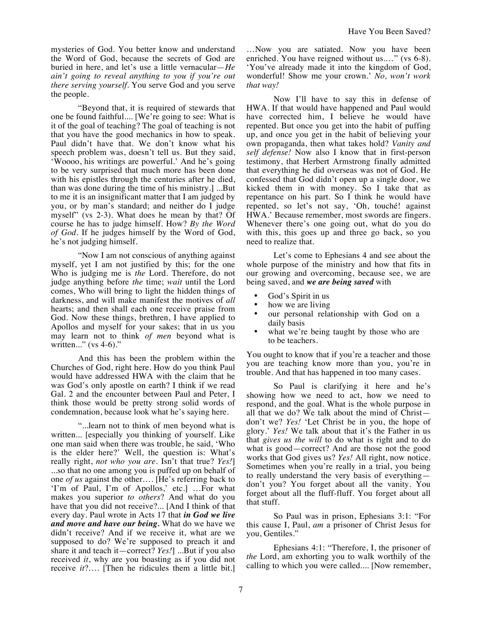mysteries of God. You better know and understand the Word of God, because the secrets of God are buried in here, and let's use a little vernacular—*He ain't going to reveal anything to you if you're out there serving yourself.* You serve God and you serve the people.

"Beyond that, it is required of stewards that one be found faithful.... [We're going to see: What is it of the goal of teaching? The goal of teaching is not that you have the good mechanics in how to speak. Paul didn't have that. We don't know what his speech problem was, doesn't tell us. But they said, 'Woooo, his writings are powerful.' And he's going to be very surprised that much more has been done with his epistles through the centuries after he died, than was done during the time of his ministry.] ...But to me it is an insignificant matter that I am judged by you, or by man's standard; and neither do I judge myself" (vs 2-3). What does he mean by that? Of course he has to judge himself. How? *By the Word of God.* If he judges himself by the Word of God, he's not judging himself.

"Now I am not conscious of anything against myself, yet I am not justified by this; for the one Who is judging me is *the* Lord. Therefore, do not judge anything before *the* time; *wait* until the Lord comes, Who will bring to light the hidden things of darkness, and will make manifest the motives of *all*  hearts; and then shall each one receive praise from God. Now these things, brethren, I have applied to Apollos and myself for your sakes; that in us you may learn not to think *of men* beyond what is written..." (vs 4-6)."

And this has been the problem within the Churches of God, right here. How do you think Paul would have addressed HWA with the claim that he was God's only apostle on earth? I think if we read Gal. 2 and the encounter between Paul and Peter, I think those would be pretty strong solid words of condemnation, because look what he's saying here.

"...learn not to think of men beyond what is written... [especially you thinking of yourself. Like one man said when there was trouble, he said, 'Who is the elder here?' Well, the question is: What's really right, *not who you are*. Isn't that true? *Yes!*] ...so that no one among you is puffed up on behalf of one *of us* against the other…. [He's referring back to 'I'm of Paul, I'm of Apollos,' etc.] …For what makes you superior *to others*? And what do you have that you did not receive?... [And I think of that every day. Paul wrote in Acts 17 that *in God we live and move and have our being.* What do we have we didn't receive? And if we receive it, what are we supposed to do? We're supposed to preach it and share it and teach it—correct? *Yes!*] ...But if you also received *it*, why are you boasting as if you did not receive *it*?…. [Then he ridicules them a little bit.]

…Now you are satiated. Now you have been enriched. You have reigned without us.…" (vs 6-8). 'You've already made it into the kingdom of God, wonderful! Show me your crown.' *No, won't work that way!*

Now I'll have to say this in defense of HWA. If that would have happened and Paul would have corrected him, I believe he would have repented. But once you get into the habit of puffing up, and once you get in the habit of believing your own propaganda, then what takes hold? *Vanity and self defense!* Now also I know that in first-person testimony, that Herbert Armstrong finally admitted that everything he did overseas was not of God. He confessed that God didn't open up a single door, we kicked them in with money. So I take that as repentance on his part. So I think he would have repented, so let's not say, 'Oh, touché! against HWA.' Because remember, most swords are fingers. Whenever there's one going out, what do you do with this, this goes up and three go back, so you need to realize that.

Let's come to Ephesians 4 and see about the whole purpose of the ministry and how that fits in our growing and overcoming, because see, we are being saved, and *we are being saved* with

- God's Spirit in us
- how we are living
- our personal relationship with God on a daily basis
- what we're being taught by those who are to be teachers.

You ought to know that if you're a teacher and those you are teaching know more than you, you're in trouble. And that has happened in too many cases.

So Paul is clarifying it here and he's showing how we need to act, how we need to respond, and the goal. What is the whole purpose in all that we do? We talk about the mind of Christ don't we? *Yes!* 'Let Christ be in you, the hope of glory.' *Yes!* We talk about that it's the Father in us that *gives us the will* to do what is right and to do what is good—correct? And are those not the good works that God gives us? *Yes!* All right, now notice. Sometimes when you're really in a trial, you being to really understand the very basis of everything don't you? You forget about all the vanity. You forget about all the fluff-fluff. You forget about all that stuff.

So Paul was in prison, Ephesians 3:1: "For this cause I, Paul, *am* a prisoner of Christ Jesus for you, Gentiles."

Ephesians 4:1: "Therefore, I, the prisoner of *the* Lord, am exhorting you to walk worthily of the calling to which you were called.... [Now remember,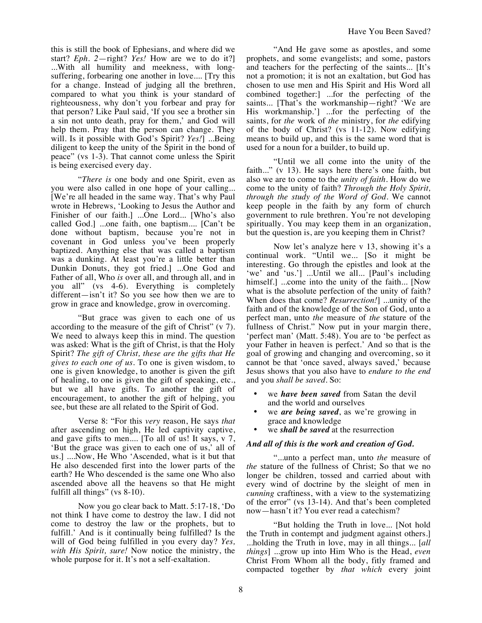Have You Been Saved?

this is still the book of Ephesians, and where did we start? *Eph. 2*—right? *Yes!* How are we to do it?] ...With all humility and meekness, with longsuffering, forbearing one another in love.... [Try this for a change. Instead of judging all the brethren, compared to what you think is your standard of righteousness, why don't you forbear and pray for that person? Like Paul said, 'If you see a brother sin a sin not unto death, pray for them,' and God will help them. Pray that the person can change. They will. Is it possible with God's Spirit? *Yes!*] ...Being diligent to keep the unity of the Spirit in the bond of peace" (vs 1-3). That cannot come unless the Spirit is being exercised every day.

"*There is* one body and one Spirit, even as you were also called in one hope of your calling... [We're all headed in the same way. That's why Paul wrote in Hebrews, 'Looking to Jesus the Author and Finisher of our faith.] ...One Lord... [Who's also called God.] ...one faith, one baptism.... [Can't be done without baptism, because you're not in covenant in God unless you've been properly baptized. Anything else that was called a baptism was a dunking. At least you're a little better than Dunkin Donuts, they got fried.] ...One God and Father of all, Who *is* over all, and through all, and in you all" (vs 4-6). Everything is completely different—isn't it? So you see how then we are to grow in grace and knowledge, grow in overcoming.

"But grace was given to each one of us according to the measure of the gift of Christ" (v 7). We need to always keep this in mind. The question was asked: What is the gift of Christ, is that the Holy Spirit? *The gift of Christ, these are the gifts that He gives to each one of us.* To one is given wisdom, to one is given knowledge, to another is given the gift of healing, to one is given the gift of speaking, etc., but we all have gifts. To another the gift of encouragement, to another the gift of helping, you see, but these are all related to the Spirit of God.

Verse 8: "For this *very* reason, He says *that*  after ascending on high, He led captivity captive, and gave gifts to men.... [To all of us! It says, v 7, 'But the grace was given to each one of us,' all of us.] ....Now, He Who 'Ascended, what is it but that He also descended first into the lower parts of the earth? He Who descended is the same one Who also ascended above all the heavens so that He might fulfill all things" (vs 8-10).

Now you go clear back to Matt. 5:17-18, 'Do not think I have come to destroy the law. I did not come to destroy the law or the prophets, but to fulfill.' And is it continually being fulfilled? Is the will of God being fulfilled in you every day? *Yes, with His Spirit, sure!* Now notice the ministry, the whole purpose for it. It's not a self-exaltation.

"And He gave some as apostles, and some prophets, and some evangelists; and some, pastors and teachers for the perfecting of the saints... [It's not a promotion; it is not an exaltation, but God has chosen to use men and His Spirit and His Word all combined together:] ...for the perfecting of the saints... [That's the workmanship—right? 'We are His workmanship.'] ...for the perfecting of the saints, for *the* work of *the* ministry, for *the* edifying of the body of Christ? (vs 11-12). Now edifying means to build up, and this is the same word that is used for a noun for a builder, to build up.

"Until we all come into the unity of the faith..." (v 13). He says here there's one faith, but also we are to come to the *unity of faith*. How do we come to the unity of faith? *Through the Holy Spirit, through the study of the Word of God*. We cannot keep people in the faith by any form of church government to rule brethren. You're not developing spiritually. You may keep them in an organization, but the question is, are you keeping them in Christ?

Now let's analyze here v 13, showing it's a continual work. "Until we... [So it might be interesting. Go through the epistles and look at the 'we' and 'us.'] ...Until we all... [Paul's including himself.] ...come into the unity of the faith... [Now what is the absolute perfection of the unity of faith? When does that come? *Resurrection!*] ...unity of the faith and of the knowledge of the Son of God, unto a perfect man, unto *the* measure of *the* stature of the fullness of Christ." Now put in your margin there, 'perfect man' (Matt. 5:48). You are to 'be perfect as your Father in heaven is perfect.' And so that is the goal of growing and changing and overcoming, so it cannot be that 'once saved, always saved,' because Jesus shows that you also have to *endure to the end* and you *shall be saved*. So:

- we *have been saved* from Satan the devil and the world and ourselves
- we *are being saved*, as we're growing in grace and knowledge
- we *shall be saved* at the resurrection

## *And all of this is the work and creation of God.*

"...unto a perfect man, unto *the* measure of *the* stature of the fullness of Christ; So that we no longer be children, tossed and carried about with every wind of doctrine by the sleight of men in *cunning* craftiness, with a view to the systematizing of the error" (vs 13-14). And that's been completed now—hasn't it? You ever read a catechism?

"But holding the Truth in love... [Not hold the Truth in contempt and judgment against others.] ...holding the Truth in love, may in all things... [*all things*] ...grow up into Him Who is the Head, *even* Christ From Whom all the body, fitly framed and compacted together by *that which* every joint